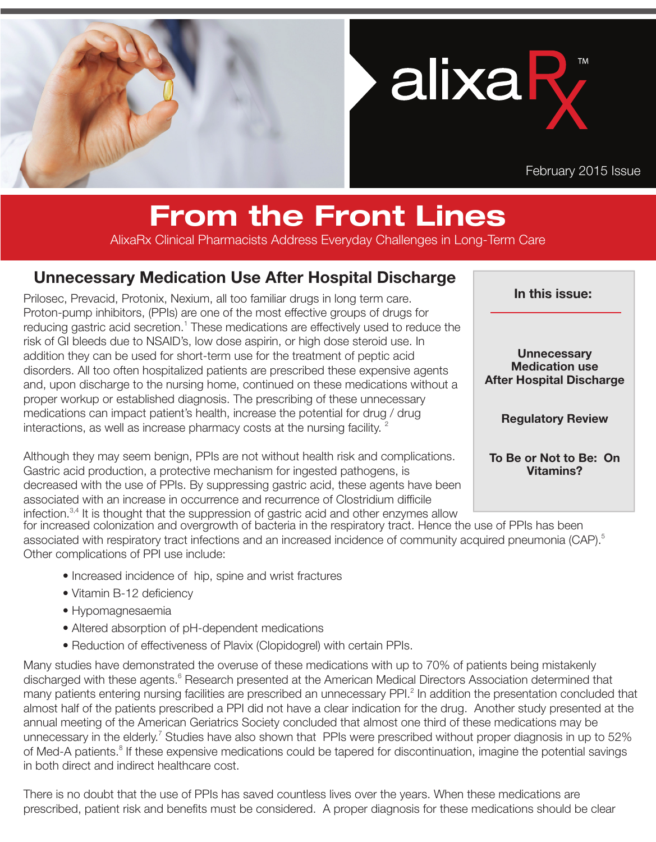

alixaR

February 2015 Issue

## From the Front Lines

AlixaRx Clinical Pharmacists Address Everyday Challenges in Long-Term Care

## Unnecessary Medication Use After Hospital Discharge

disorders. All too often hospitalized patients are prescribed these expensive agents<br>and upon discharge to the pursing home, continued on these modiostions without Prilosec, Prevacid, Protonix, Nexium, all too familiar drugs in long term care. Proton-pump inhibitors, (PPIs) are one of the most effective groups of drugs for reducing gastric acid secretion.<sup>1</sup> These medications are effectively used to reduce the risk of GI bleeds due to NSAID's, low dose aspirin, or high dose steroid use. In addition they can be used for short-term use for the treatment of peptic acid and, upon discharge to the nursing home, continued on these medications without a proper workup or established diagnosis. The prescribing of these unnecessary medications can impact patient's health, increase the potential for drug / drug interactions, as well as increase pharmacy costs at the nursing facility.  $2^{\circ}$ 

Although they may seem benign, PPIs are not without health risk and complications. Gastric acid production, a protective mechanism for ingested pathogens, is decreased with the use of PPIs. By suppressing gastric acid, these agents have been associated with an increase in occurrence and recurrence of Clostridium difficile infection.<sup>3,4</sup> It is thought that the suppression of gastric acid and other enzymes allow

In this issue:

**Unnecessary** Medication use After Hospital Discharge

Regulatory Review

To Be or Not to Be: On Vitamins?

for increased colonization and overgrowth of bacteria in the respiratory tract. Hence the use of PPIs has been associated with respiratory tract infections and an increased incidence of community acquired pneumonia (CAP).<sup>5</sup> Other complications of PPI use include:

- Increased incidence of hip, spine and wrist fractures
- Vitamin B-12 deficiency
- Hypomagnesaemia
- Altered absorption of pH-dependent medications
- Reduction of effectiveness of Plavix (Clopidogrel) with certain PPIs.

Many studies have demonstrated the overuse of these medications with up to 70% of patients being mistakenly discharged with these agents.<sup>6</sup> Research presented at the American Medical Directors Association determined that many patients entering nursing facilities are prescribed an unnecessary PPI.<sup>2</sup> In addition the presentation concluded that almost half of the patients prescribed a PPI did not have a clear indication for the drug. Another study presented at the annual meeting of the American Geriatrics Society concluded that almost one third of these medications may be unnecessary in the elderly.<sup>7</sup> Studies have also shown that PPIs were prescribed without proper diagnosis in up to 52% of Med-A patients.<sup>8</sup> If these expensive medications could be tapered for discontinuation, imagine the potential savings in both direct and indirect healthcare cost.

There is no doubt that the use of PPIs has saved countless lives over the years. When these medications are prescribed, patient risk and benefits must be considered. A proper diagnosis for these medications should be clear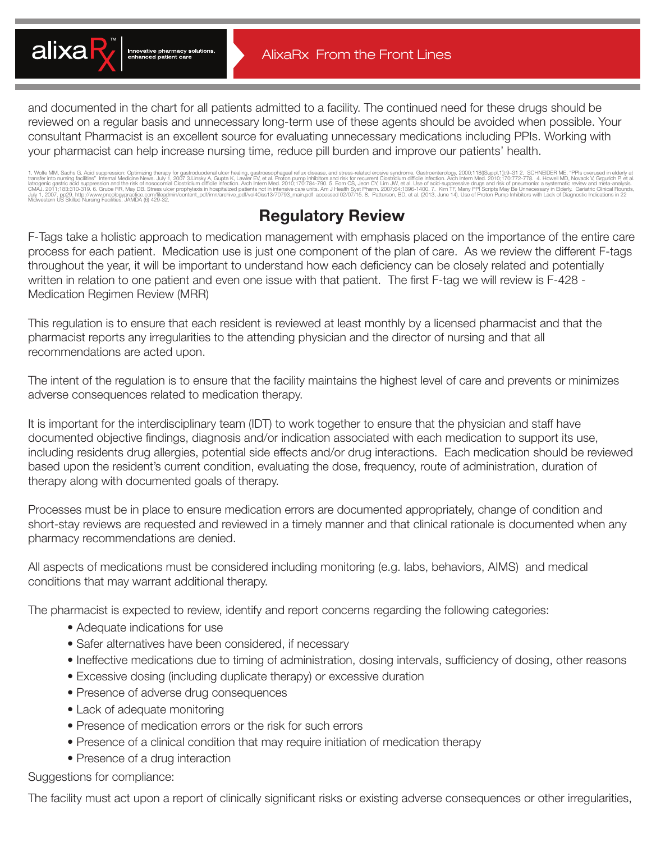

and documented in the chart for all patients admitted to a facility. The continued need for these drugs should be reviewed on a regular basis and unnecessary long-term use of these agents should be avoided when possible. Your consultant Pharmacist is an excellent source for evaluating unnecessary medications including PPIs. Working with your pharmacist can help increase nursing time, reduce pill burden and improve our patients' health.

1. Wolfe MM, Sachs G. Acid suppression: Optimizing therapy for gastrouodenal ulcer healing, gastroesophageal refux encompagate respective on the base related encoince. Castroscopic members and respectively and the informed July 1, 2007. np29. http://www.oncologypractioe.com/fileadmin/content\_pdf/imn/archive\_pdf/vol40iss13/70793\_main.pdf accessed 02/07/15. 8. Patterson, BD, et al. (2013, June 14). Use of Proton Pump Inhibitors with Lack of Di

## Regulatory Review

F-Tags take a holistic approach to medication management with emphasis placed on the importance of the entire care process for each patient. Medication use is just one component of the plan of care. As we review the different F-tags throughout the year, it will be important to understand how each deficiency can be closely related and potentially written in relation to one patient and even one issue with that patient. The first F-tag we will review is F-428 - Medication Regimen Review (MRR)

This regulation is to ensure that each resident is reviewed at least monthly by a licensed pharmacist and that the pharmacist reports any irregularities to the attending physician and the director of nursing and that all recommendations are acted upon.

The intent of the regulation is to ensure that the facility maintains the highest level of care and prevents or minimizes adverse consequences related to medication therapy.

It is important for the interdisciplinary team (IDT) to work together to ensure that the physician and staff have documented objective findings, diagnosis and/or indication associated with each medication to support its use, including residents drug allergies, potential side effects and/or drug interactions. Each medication should be reviewed based upon the resident's current condition, evaluating the dose, frequency, route of administration, duration of therapy along with documented goals of therapy.

Processes must be in place to ensure medication errors are documented appropriately, change of condition and short-stay reviews are requested and reviewed in a timely manner and that clinical rationale is documented when any pharmacy recommendations are denied.

All aspects of medications must be considered including monitoring (e.g. labs, behaviors, AIMS) and medical conditions that may warrant additional therapy.

The pharmacist is expected to review, identify and report concerns regarding the following categories:

- Adequate indications for use
- Safer alternatives have been considered, if necessary
- Ineffective medications due to timing of administration, dosing intervals, sufficiency of dosing, other reasons
- Excessive dosing (including duplicate therapy) or excessive duration
- Presence of adverse drug consequences
- Lack of adequate monitoring
- Presence of medication errors or the risk for such errors
- Presence of a clinical condition that may require initiation of medication therapy
- Presence of a drug interaction

Suggestions for compliance:

The facility must act upon a report of clinically significant risks or existing adverse consequences or other irregularities,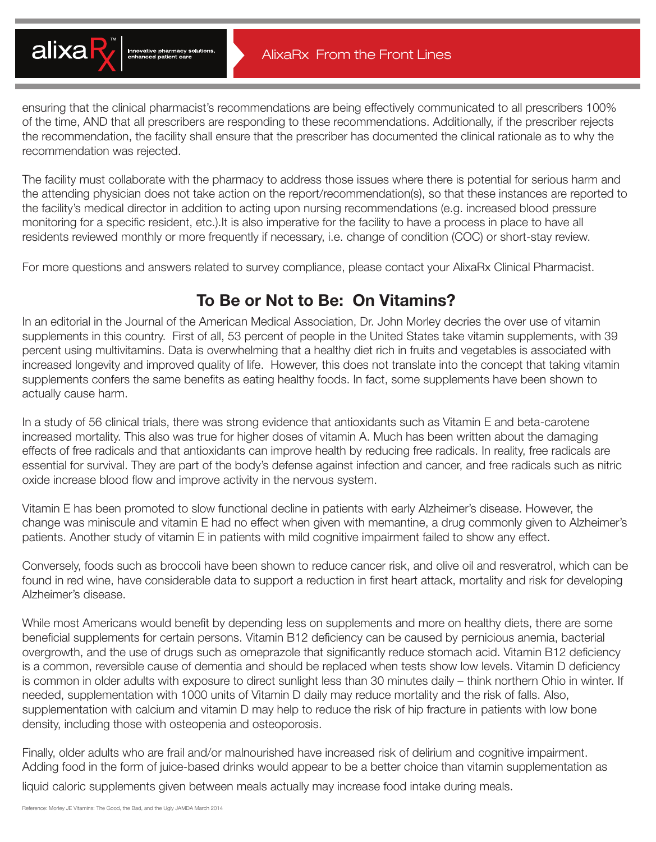

ensuring that the clinical pharmacist's recommendations are being effectively communicated to all prescribers 100% of the time, AND that all prescribers are responding to these recommendations. Additionally, if the prescriber rejects the recommendation, the facility shall ensure that the prescriber has documented the clinical rationale as to why the recommendation was rejected.

The facility must collaborate with the pharmacy to address those issues where there is potential for serious harm and the attending physician does not take action on the report/recommendation(s), so that these instances are reported to the facility's medical director in addition to acting upon nursing recommendations (e.g. increased blood pressure monitoring for a specific resident, etc.).It is also imperative for the facility to have a process in place to have all residents reviewed monthly or more frequently if necessary, i.e. change of condition (COC) or short-stay review.

For more questions and answers related to survey compliance, please contact your AlixaRx Clinical Pharmacist.

## To Be or Not to Be: On Vitamins?

In an editorial in the Journal of the American Medical Association, Dr. John Morley decries the over use of vitamin supplements in this country. First of all, 53 percent of people in the United States take vitamin supplements, with 39 percent using multivitamins. Data is overwhelming that a healthy diet rich in fruits and vegetables is associated with increased longevity and improved quality of life. However, this does not translate into the concept that taking vitamin supplements confers the same benefits as eating healthy foods. In fact, some supplements have been shown to actually cause harm.

In a study of 56 clinical trials, there was strong evidence that antioxidants such as Vitamin E and beta-carotene increased mortality. This also was true for higher doses of vitamin A. Much has been written about the damaging effects of free radicals and that antioxidants can improve health by reducing free radicals. In reality, free radicals are essential for survival. They are part of the body's defense against infection and cancer, and free radicals such as nitric oxide increase blood flow and improve activity in the nervous system.

Vitamin E has been promoted to slow functional decline in patients with early Alzheimer's disease. However, the change was miniscule and vitamin E had no effect when given with memantine, a drug commonly given to Alzheimer's patients. Another study of vitamin E in patients with mild cognitive impairment failed to show any effect.

Conversely, foods such as broccoli have been shown to reduce cancer risk, and olive oil and resveratrol, which can be found in red wine, have considerable data to support a reduction in first heart attack, mortality and risk for developing Alzheimer's disease.

While most Americans would benefit by depending less on supplements and more on healthy diets, there are some beneficial supplements for certain persons. Vitamin B12 deficiency can be caused by pernicious anemia, bacterial overgrowth, and the use of drugs such as omeprazole that significantly reduce stomach acid. Vitamin B12 deficiency is a common, reversible cause of dementia and should be replaced when tests show low levels. Vitamin D deficiency is common in older adults with exposure to direct sunlight less than 30 minutes daily – think northern Ohio in winter. If needed, supplementation with 1000 units of Vitamin D daily may reduce mortality and the risk of falls. Also, supplementation with calcium and vitamin D may help to reduce the risk of hip fracture in patients with low bone density, including those with osteopenia and osteoporosis.

Finally, older adults who are frail and/or malnourished have increased risk of delirium and cognitive impairment. Adding food in the form of juice-based drinks would appear to be a better choice than vitamin supplementation as

liquid caloric supplements given between meals actually may increase food intake during meals.